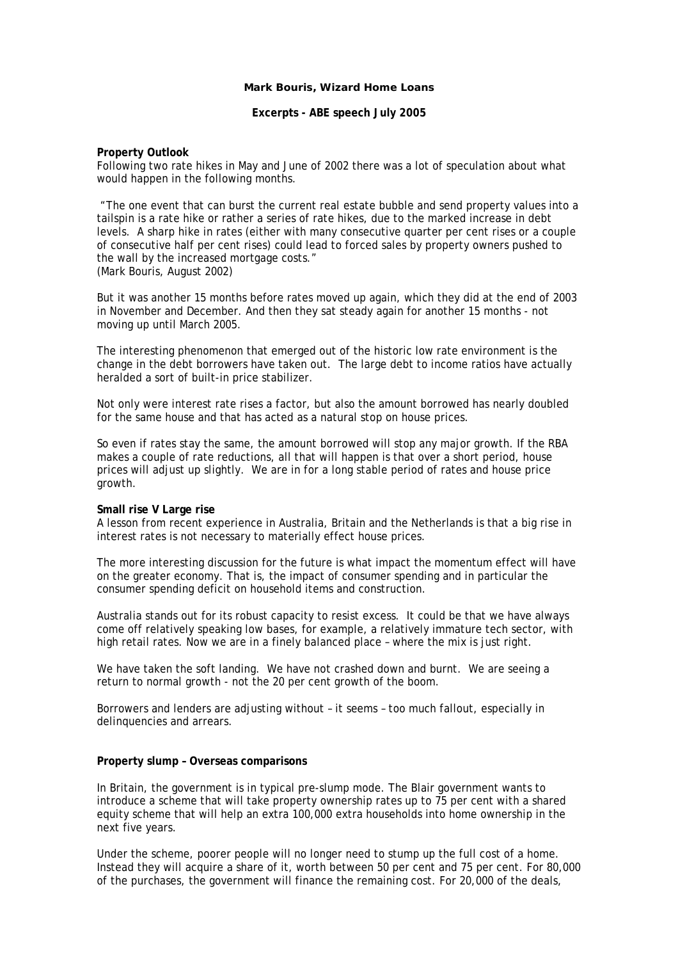### **Mark Bouris, Wizard Home Loans**

**Excerpts - ABE speech July 2005** 

# **Property Outlook**

Following two rate hikes in May and June of 2002 there was a lot of speculation about what would happen in the following months.

 "The one event that can burst the current real estate bubble and send property values into a tailspin is a rate hike or rather a series of rate hikes, due to the marked increase in debt levels.A sharp hike in rates (either with many consecutive quarter per cent rises or a couple of consecutive half per cent rises) could lead to forced sales by property owners pushed to the wall by the increased mortgage costs." (Mark Bouris, August 2002)

But it was another 15 months before rates moved up again, which they did at the end of 2003 in November and December. And then they sat steady again for another 15 months - not moving up until March 2005.

The interesting phenomenon that emerged out of the historic low rate environment is the change in the debt borrowers have taken out. The large debt to income ratios have actually heralded a sort of built-in price stabilizer.

Not only were interest rate rises a factor, but also the amount borrowed has nearly doubled for the same house and that has acted as a natural stop on house prices.

So even if rates stay the same, the amount borrowed will stop any major growth. If the RBA makes a couple of rate reductions, all that will happen is that over a short period, house prices will adjust up slightly. We are in for a long stable period of rates and house price growth.

# **Small rise V Large rise**

A lesson from recent experience in Australia, Britain and the Netherlands is that a big rise in interest rates is not necessary to materially effect house prices.

The more interesting discussion for the future is what impact the momentum effect will have on the greater economy. That is, the impact of consumer spending and in particular the consumer spending deficit on household items and construction.

Australia stands out for its robust capacity to resist excess. It could be that we have always come off relatively speaking low bases, for example, a relatively immature tech sector, with high retail rates. Now we are in a finely balanced place – where the mix is just right.

We have taken the soft landing. We have not crashed down and burnt. We are seeing a return to normal growth - not the 20 per cent growth of the boom.

Borrowers and lenders are adjusting without – it seems – too much fallout, especially in delinquencies and arrears.

# **Property slump – Overseas comparisons**

In Britain, the government is in typical pre-slump mode. The Blair government wants to introduce a scheme that will take property ownership rates up to 75 per cent with a shared equity scheme that will help an extra 100,000 extra households into home ownership in the next five years.

Under the scheme, poorer people will no longer need to stump up the full cost of a home. Instead they will acquire a share of it, worth between 50 per cent and 75 per cent. For 80,000 of the purchases, the government will finance the remaining cost. For 20,000 of the deals,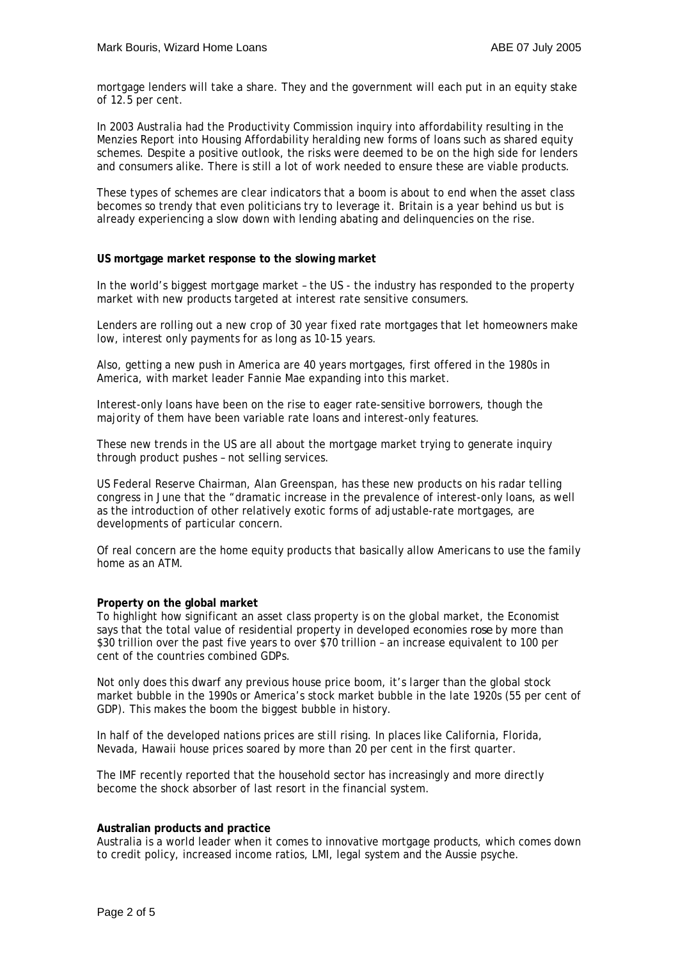mortgage lenders will take a share. They and the government will each put in an equity stake of 12.5 per cent.

In 2003 Australia had the Productivity Commission inquiry into affordability resulting in the Menzies Report into Housing Affordability heralding new forms of loans such as shared equity schemes. Despite a positive outlook, the risks were deemed to be on the high side for lenders and consumers alike. There is still a lot of work needed to ensure these are viable products.

These types of schemes are clear indicators that a boom is about to end when the asset class becomes so trendy that even politicians try to leverage it. Britain is a year behind us but is already experiencing a slow down with lending abating and delinquencies on the rise.

### **US mortgage market response to the slowing market**

In the world's biggest mortgage market – the US - the industry has responded to the property market with new products targeted at interest rate sensitive consumers.

Lenders are rolling out a new crop of 30 year fixed rate mortgages that let homeowners make low, interest only payments for as long as 10-15 years.

Also, getting a new push in America are 40 years mortgages, first offered in the 1980s in America, with market leader Fannie Mae expanding into this market.

Interest-only loans have been on the rise to eager rate-sensitive borrowers, though the majority of them have been variable rate loans and interest-only features.

These new trends in the US are all about the mortgage market trying to generate inquiry through product pushes – not selling services.

US Federal Reserve Chairman, Alan Greenspan, has these new products on his radar telling congress in June that the "dramatic increase in the prevalence of interest-only loans, as well as the introduction of other relatively exotic forms of adjustable-rate mortgages, are developments of particular concern.

Of real concern are the home equity products that basically allow Americans to use the family home as an ATM.

#### **Property on the global market**

To highlight how significant an asset class property is on the global market, the Economist says that the total value of residential property in developed economies *rose* by more than \$30 trillion over the past five years to over \$70 trillion – an increase equivalent to 100 per cent of the countries combined GDPs.

Not only does this dwarf any previous house price boom, it's larger than the global stock market bubble in the 1990s or America's stock market bubble in the late 1920s (55 per cent of GDP). This makes the boom the biggest bubble in history.

In half of the developed nations prices are still rising. In places like California, Florida, Nevada, Hawaii house prices soared by more than 20 per cent in the first quarter.

The IMF recently reported that the household sector has increasingly and more directly become the shock absorber of last resort in the financial system.

### **Australian products and practice**

Australia is a world leader when it comes to innovative mortgage products, which comes down to credit policy, increased income ratios, LMI, legal system and the Aussie psyche.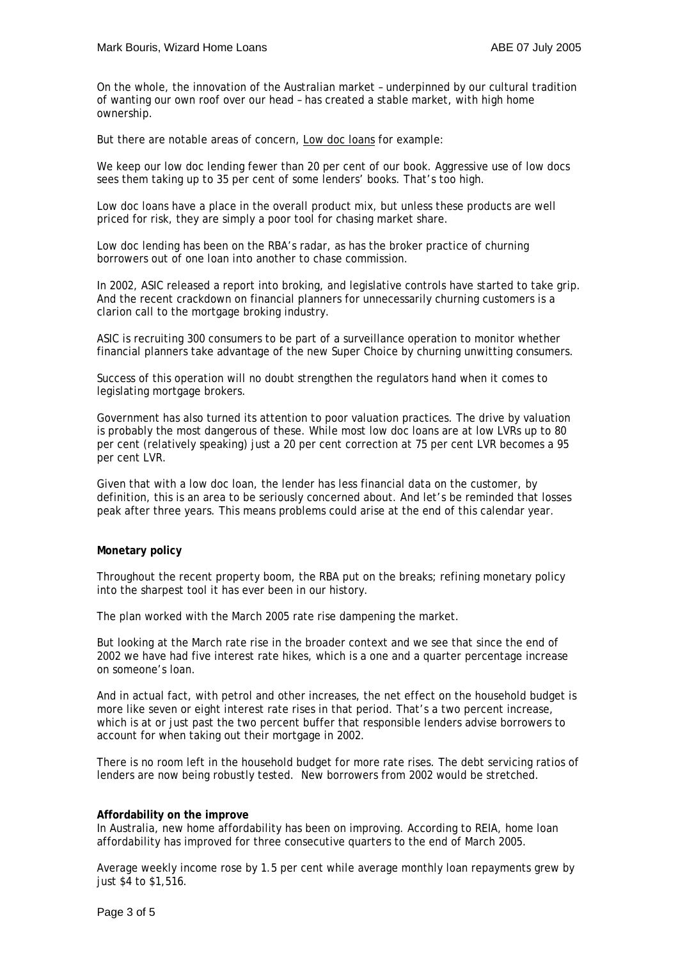On the whole, the innovation of the Australian market – underpinned by our cultural tradition of wanting our own roof over our head – has created a stable market, with high home ownership.

But there are notable areas of concern, Low doc loans for example:

We keep our low doc lending fewer than 20 per cent of our book. Aggressive use of low docs sees them taking up to 35 per cent of some lenders' books. That's too high.

Low doc loans have a place in the overall product mix, but unless these products are well priced for risk, they are simply a poor tool for chasing market share.

Low doc lending has been on the RBA's radar, as has the broker practice of churning borrowers out of one loan into another to chase commission.

In 2002, ASIC released a report into broking, and legislative controls have started to take grip. And the recent crackdown on financial planners for unnecessarily churning customers is a clarion call to the mortgage broking industry.

ASIC is recruiting 300 consumers to be part of a surveillance operation to monitor whether financial planners take advantage of the new Super Choice by churning unwitting consumers.

Success of this operation will no doubt strengthen the regulators hand when it comes to legislating mortgage brokers.

Government has also turned its attention to poor valuation practices. The drive by valuation is probably the most dangerous of these. While most low doc loans are at low LVRs up to 80 per cent (relatively speaking) just a 20 per cent correction at 75 per cent LVR becomes a 95 per cent LVR.

Given that with a low doc loan, the lender has less financial data on the customer, by definition, this is an area to be seriously concerned about. And let's be reminded that losses peak after three years. This means problems could arise at the end of this calendar year.

# **Monetary policy**

Throughout the recent property boom, the RBA put on the breaks; refining monetary policy into the sharpest tool it has ever been in our history.

The plan worked with the March 2005 rate rise dampening the market.

But looking at the March rate rise in the broader context and we see that since the end of 2002 we have had five interest rate hikes, which is a one and a quarter percentage increase on someone's loan.

And in actual fact, with petrol and other increases, the net effect on the household budget is more like seven or eight interest rate rises in that period. That's a two percent increase, which is at or just past the two percent buffer that responsible lenders advise borrowers to account for when taking out their mortgage in 2002.

There is no room left in the household budget for more rate rises. The debt servicing ratios of lenders are now being robustly tested. New borrowers from 2002 would be stretched.

# **Affordability on the improve**

In Australia, new home affordability has been on improving. According to REIA, home loan affordability has improved for three consecutive quarters to the end of March 2005.

Average weekly income rose by 1.5 per cent while average monthly loan repayments grew by just \$4 to \$1,516.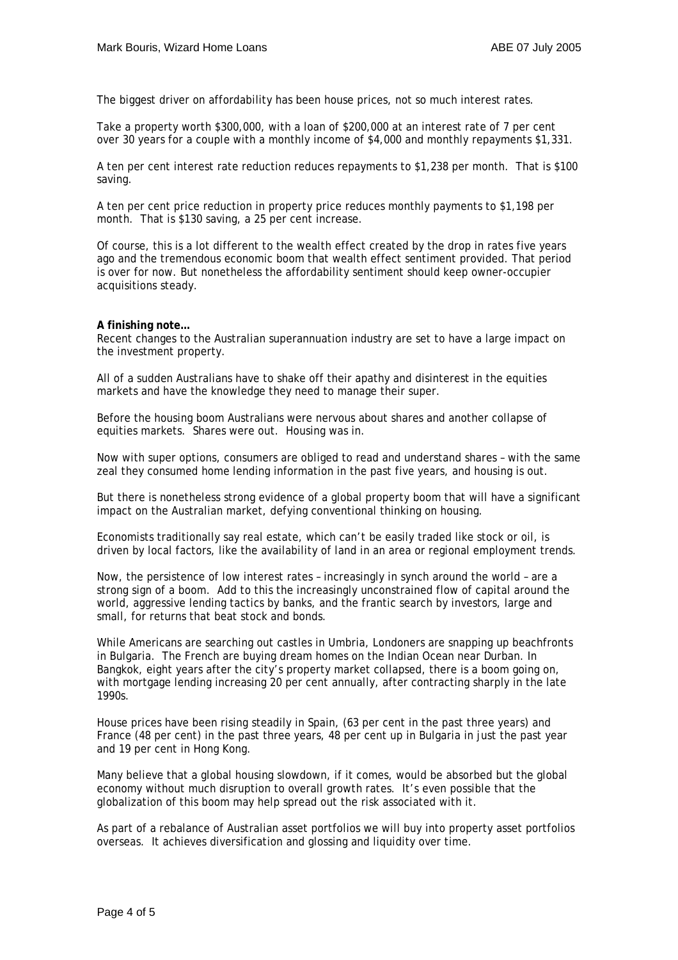The biggest driver on affordability has been house prices, not so much interest rates.

Take a property worth \$300,000, with a loan of \$200,000 at an interest rate of 7 per cent over 30 years for a couple with a monthly income of \$4,000 and monthly repayments \$1,331.

A ten per cent interest rate reduction reduces repayments to \$1,238 per month. That is \$100 saving.

A ten per cent price reduction in property price reduces monthly payments to \$1,198 per month. That is \$130 saving, a 25 per cent increase.

Of course, this is a lot different to the wealth effect created by the drop in rates five years ago and the tremendous economic boom that wealth effect sentiment provided. That period is over for now. But nonetheless the affordability sentiment should keep owner-occupier acquisitions steady.

# **A finishing note…**

Recent changes to the Australian superannuation industry are set to have a large impact on the investment property.

All of a sudden Australians have to shake off their apathy and disinterest in the equities markets and have the knowledge they need to manage their super.

Before the housing boom Australians were nervous about shares and another collapse of equities markets. Shares were out. Housing was in.

Now with super options, consumers are obliged to read and understand shares – with the same zeal they consumed home lending information in the past five years, and housing is out.

But there is nonetheless strong evidence of a global property boom that will have a significant impact on the Australian market, defying conventional thinking on housing.

Economists traditionally say real estate, which can't be easily traded like stock or oil, is driven by local factors, like the availability of land in an area or regional employment trends.

Now, the persistence of low interest rates – increasingly in synch around the world – are a strong sign of a boom. Add to this the increasingly unconstrained flow of capital around the world, aggressive lending tactics by banks, and the frantic search by investors, large and small, for returns that beat stock and bonds.

While Americans are searching out castles in Umbria, Londoners are snapping up beachfronts in Bulgaria. The French are buying dream homes on the Indian Ocean near Durban. In Bangkok, eight years after the city's property market collapsed, there is a boom going on, with mortgage lending increasing 20 per cent annually, after contracting sharply in the late 1990s.

House prices have been rising steadily in Spain, (63 per cent in the past three years) and France (48 per cent) in the past three years, 48 per cent up in Bulgaria in just the past year and 19 per cent in Hong Kong.

Many believe that a global housing slowdown, if it comes, would be absorbed but the global economy without much disruption to overall growth rates. It's even possible that the globalization of this boom may help spread out the risk associated with it.

As part of a rebalance of Australian asset portfolios we will buy into property asset portfolios overseas. It achieves diversification and glossing and liquidity over time.